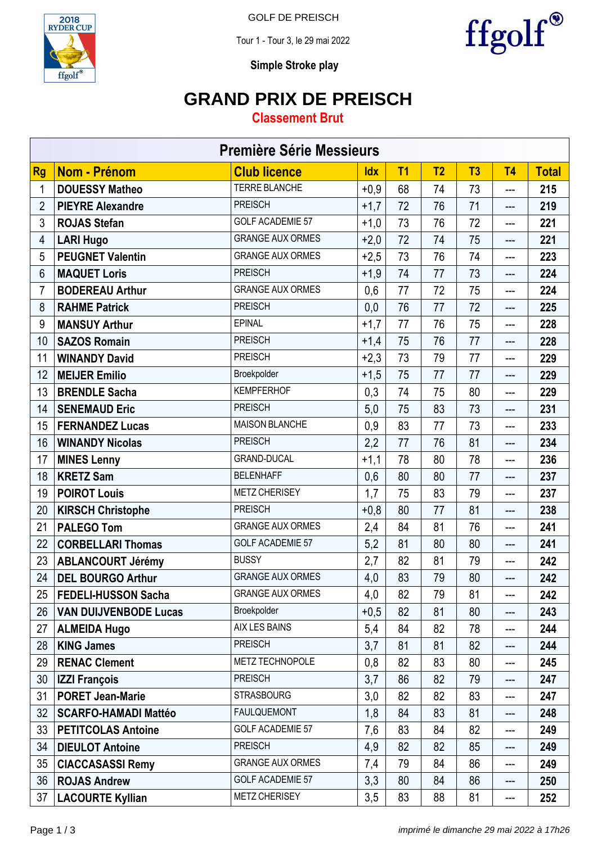

GOLF DE PREISCH

Tour 1 - Tour 3, le 29 mai 2022



**Simple Stroke play**

### **GRAND PRIX DE PREISCH**

### **Classement Brut**

| <b>Première Série Messieurs</b> |                              |                         |            |                |                |    |                |              |
|---------------------------------|------------------------------|-------------------------|------------|----------------|----------------|----|----------------|--------------|
| <b>Rg</b>                       | <b>Nom - Prénom</b>          | <b>Club licence</b>     | <b>Idx</b> | T <sub>1</sub> | T <sub>2</sub> | T3 | T <sub>4</sub> | <b>Total</b> |
| 1                               | <b>DOUESSY Matheo</b>        | <b>TERRE BLANCHE</b>    | $+0,9$     | 68             | 74             | 73 | ---            | 215          |
| $\overline{2}$                  | <b>PIEYRE Alexandre</b>      | <b>PREISCH</b>          | $+1,7$     | 72             | 76             | 71 | ---            | 219          |
| 3                               | <b>ROJAS Stefan</b>          | <b>GOLF ACADEMIE 57</b> | $+1,0$     | 73             | 76             | 72 | ---            | 221          |
| 4                               | <b>LARI Hugo</b>             | <b>GRANGE AUX ORMES</b> | $+2,0$     | 72             | 74             | 75 | $---$          | 221          |
| 5                               | <b>PEUGNET Valentin</b>      | <b>GRANGE AUX ORMES</b> | $+2,5$     | 73             | 76             | 74 | ---            | 223          |
| 6                               | <b>MAQUET Loris</b>          | <b>PREISCH</b>          | $+1,9$     | 74             | 77             | 73 | ---            | 224          |
| 7                               | <b>BODEREAU Arthur</b>       | <b>GRANGE AUX ORMES</b> | 0,6        | 77             | 72             | 75 | ---            | 224          |
| 8                               | <b>RAHME Patrick</b>         | <b>PREISCH</b>          | 0,0        | 76             | 77             | 72 | ---            | 225          |
| 9                               | <b>MANSUY Arthur</b>         | <b>EPINAL</b>           | $+1,7$     | 77             | 76             | 75 | ---            | 228          |
| 10                              | <b>SAZOS Romain</b>          | <b>PREISCH</b>          | $+1,4$     | 75             | 76             | 77 | ---            | 228          |
| 11                              | <b>WINANDY David</b>         | <b>PREISCH</b>          | $+2,3$     | 73             | 79             | 77 | ---            | 229          |
| 12                              | <b>MEIJER Emilio</b>         | Broekpolder             | $+1,5$     | 75             | 77             | 77 | ---            | 229          |
| 13                              | <b>BRENDLE Sacha</b>         | <b>KEMPFERHOF</b>       | 0,3        | 74             | 75             | 80 | ---            | 229          |
| 14                              | <b>SENEMAUD Eric</b>         | <b>PREISCH</b>          | 5,0        | 75             | 83             | 73 | ---            | 231          |
| 15                              | <b>FERNANDEZ Lucas</b>       | <b>MAISON BLANCHE</b>   | 0,9        | 83             | 77             | 73 | ---            | 233          |
| 16                              | <b>WINANDY Nicolas</b>       | <b>PREISCH</b>          | 2,2        | 77             | 76             | 81 | ---            | 234          |
| 17                              | <b>MINES Lenny</b>           | <b>GRAND-DUCAL</b>      | $+1,1$     | 78             | 80             | 78 | ---            | 236          |
| 18                              | <b>KRETZ Sam</b>             | <b>BELENHAFF</b>        | 0,6        | 80             | 80             | 77 | ---            | 237          |
| 19                              | <b>POIROT Louis</b>          | <b>METZ CHERISEY</b>    | 1,7        | 75             | 83             | 79 | ---            | 237          |
| 20                              | <b>KIRSCH Christophe</b>     | <b>PREISCH</b>          | $+0,8$     | 80             | 77             | 81 | ---            | 238          |
| 21                              | <b>PALEGO Tom</b>            | <b>GRANGE AUX ORMES</b> | 2,4        | 84             | 81             | 76 | ---            | 241          |
| 22                              | <b>CORBELLARI Thomas</b>     | <b>GOLF ACADEMIE 57</b> | 5,2        | 81             | 80             | 80 | ---            | 241          |
| 23                              | <b>ABLANCOURT Jérémy</b>     | <b>BUSSY</b>            | 2,7        | 82             | 81             | 79 | ---            | 242          |
| 24                              | <b>DEL BOURGO Arthur</b>     | <b>GRANGE AUX ORMES</b> | 4,0        | 83             | 79             | 80 | ---            | 242          |
| 25                              | <b>FEDELI-HUSSON Sacha</b>   | <b>GRANGE AUX ORMES</b> | 4,0        | 82             | 79             | 81 | ---            | 242          |
| 26                              | <b>VAN DUIJVENBODE Lucas</b> | Broekpolder             | $+0,5$     | 82             | 81             | 80 | ---            | 243          |
| 27                              | <b>ALMEIDA Hugo</b>          | AIX LES BAINS           | 5,4        | 84             | 82             | 78 | ---            | 244          |
| 28                              | <b>KING James</b>            | <b>PREISCH</b>          | 3,7        | 81             | 81             | 82 | ---            | 244          |
| 29                              | <b>RENAC Clement</b>         | METZ TECHNOPOLE         | 0,8        | 82             | 83             | 80 | ---            | 245          |
| 30 <sub>2</sub>                 | <b>IZZI François</b>         | <b>PREISCH</b>          | 3,7        | 86             | 82             | 79 | ---            | 247          |
| 31                              | <b>PORET Jean-Marie</b>      | <b>STRASBOURG</b>       | 3,0        | 82             | 82             | 83 | ---            | 247          |
| 32                              | <b>SCARFO-HAMADI Mattéo</b>  | <b>FAULQUEMONT</b>      | 1,8        | 84             | 83             | 81 | ---            | 248          |
| 33                              | <b>PETITCOLAS Antoine</b>    | <b>GOLF ACADEMIE 57</b> | 7,6        | 83             | 84             | 82 | ---            | 249          |
| 34                              | <b>DIEULOT Antoine</b>       | <b>PREISCH</b>          | 4,9        | 82             | 82             | 85 | ---            | 249          |
| 35                              | <b>CIACCASASSI Remy</b>      | <b>GRANGE AUX ORMES</b> | 7,4        | 79             | 84             | 86 | ---            | 249          |
| 36                              | <b>ROJAS Andrew</b>          | <b>GOLF ACADEMIE 57</b> | 3,3        | 80             | 84             | 86 | ---            | 250          |
| 37                              | <b>LACOURTE Kyllian</b>      | <b>METZ CHERISEY</b>    | 3,5        | 83             | 88             | 81 | ---            | 252          |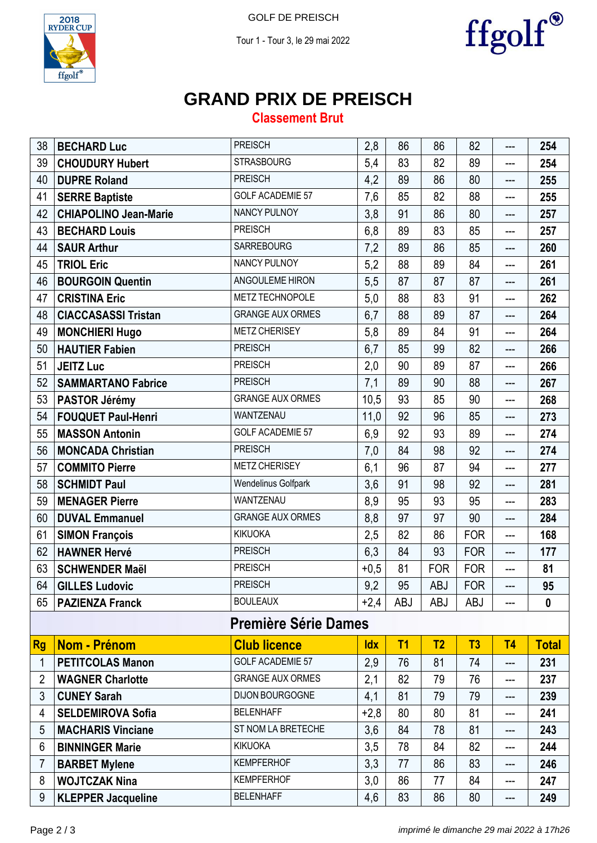

 $\operatorname{ffgolf}^\circ$ 

GOLF DE PREISCH

Tour 1 - Tour 3, le 29 mai 2022



# **GRAND PRIX DE PREISCH**

### **Classement Brut**

| 38                          | <b>BECHARD Luc</b>           | <b>PREISCH</b>          | 2,8        | 86             | 86             | 82         | ---       | 254          |  |
|-----------------------------|------------------------------|-------------------------|------------|----------------|----------------|------------|-----------|--------------|--|
| 39                          | <b>CHOUDURY Hubert</b>       | <b>STRASBOURG</b>       | 5,4        | 83             | 82             | 89         | ---       | 254          |  |
| 40                          | <b>DUPRE Roland</b>          | <b>PREISCH</b>          | 4,2        | 89             | 86             | 80         | ---       | 255          |  |
| 41                          | <b>SERRE Baptiste</b>        | <b>GOLF ACADEMIE 57</b> | 7,6        | 85             | 82             | 88         | ---       | 255          |  |
| 42                          | <b>CHIAPOLINO Jean-Marie</b> | <b>NANCY PULNOY</b>     | 3,8        | 91             | 86             | 80         | ---       | 257          |  |
| 43                          | <b>BECHARD Louis</b>         | <b>PREISCH</b>          | 6,8        | 89             | 83             | 85         | ---       | 257          |  |
| 44                          | <b>SAUR Arthur</b>           | <b>SARREBOURG</b>       | 7,2        | 89             | 86             | 85         | ---       | 260          |  |
| 45                          | <b>TRIOL Eric</b>            | <b>NANCY PULNOY</b>     | 5,2        | 88             | 89             | 84         | ---       | 261          |  |
| 46                          | <b>BOURGOIN Quentin</b>      | ANGOULEME HIRON         | 5,5        | 87             | 87             | 87         | ---       | 261          |  |
| 47                          | <b>CRISTINA Eric</b>         | METZ TECHNOPOLE         | 5,0        | 88             | 83             | 91         | ---       | 262          |  |
| 48                          | <b>CIACCASASSI Tristan</b>   | <b>GRANGE AUX ORMES</b> | 6,7        | 88             | 89             | 87         | ---       | 264          |  |
| 49                          | <b>MONCHIERI Hugo</b>        | <b>METZ CHERISEY</b>    | 5,8        | 89             | 84             | 91         | ---       | 264          |  |
| 50                          | <b>HAUTIER Fabien</b>        | <b>PREISCH</b>          | 6,7        | 85             | 99             | 82         | ---       | 266          |  |
| 51                          | <b>JEITZ Luc</b>             | <b>PREISCH</b>          | 2,0        | 90             | 89             | 87         | ---       | 266          |  |
| 52                          | <b>SAMMARTANO Fabrice</b>    | <b>PREISCH</b>          | 7,1        | 89             | 90             | 88         | ---       | 267          |  |
| 53                          | <b>PASTOR Jérémy</b>         | <b>GRANGE AUX ORMES</b> | 10,5       | 93             | 85             | 90         | ---       | 268          |  |
| 54                          | <b>FOUQUET Paul-Henri</b>    | WANTZENAU               | 11,0       | 92             | 96             | 85         | ---       | 273          |  |
| 55                          | <b>MASSON Antonin</b>        | <b>GOLF ACADEMIE 57</b> | 6,9        | 92             | 93             | 89         | ---       | 274          |  |
| 56                          | <b>MONCADA Christian</b>     | <b>PREISCH</b>          | 7,0        | 84             | 98             | 92         | ---       | 274          |  |
| 57                          | <b>COMMITO Pierre</b>        | <b>METZ CHERISEY</b>    | 6,1        | 96             | 87             | 94         | ---       | 277          |  |
| 58                          | <b>SCHMIDT Paul</b>          | Wendelinus Golfpark     | 3,6        | 91             | 98             | 92         | ---       | 281          |  |
| 59                          | <b>MENAGER Pierre</b>        | WANTZENAU               | 8,9        | 95             | 93             | 95         | ---       | 283          |  |
| 60                          | <b>DUVAL Emmanuel</b>        | <b>GRANGE AUX ORMES</b> | 8,8        | 97             | 97             | 90         | ---       | 284          |  |
| 61                          | <b>SIMON François</b>        | <b>KIKUOKA</b>          | 2,5        | 82             | 86             | <b>FOR</b> | ---       | 168          |  |
| 62                          | <b>HAWNER Hervé</b>          | <b>PREISCH</b>          | 6,3        | 84             | 93             | <b>FOR</b> | ---       | 177          |  |
| 63                          | <b>SCHWENDER Maël</b>        | <b>PREISCH</b>          | $+0,5$     | 81             | <b>FOR</b>     | <b>FOR</b> | ---       | 81           |  |
| 64                          | <b>GILLES Ludovic</b>        | <b>PREISCH</b>          | 9,2        | 95             | <b>ABJ</b>     | <b>FOR</b> | ---       | 95           |  |
| 65                          | <b>PAZIENZA Franck</b>       | <b>BOULEAUX</b>         | $+2,4$     | <b>ABJ</b>     | <b>ABJ</b>     | <b>ABJ</b> | ---       | $\mathbf{0}$ |  |
| <b>Première Série Dames</b> |                              |                         |            |                |                |            |           |              |  |
| <b>Rg</b>                   | <b>Nom - Prénom</b>          | <b>Club licence</b>     | <b>Idx</b> | T <sub>1</sub> | T <sub>2</sub> | T3         | <b>T4</b> | <b>Total</b> |  |
| 1                           | <b>PETITCOLAS Manon</b>      | <b>GOLF ACADEMIE 57</b> | 2,9        | 76             | 81             | 74         | ---       | 231          |  |
| $\overline{2}$              | <b>WAGNER Charlotte</b>      | <b>GRANGE AUX ORMES</b> | 2,1        | 82             | 79             | 76         | ---       | 237          |  |
| 3                           | <b>CUNEY Sarah</b>           | DIJON BOURGOGNE         | 4,1        | 81             | 79             | 79         | ---       | 239          |  |
| 4                           | <b>SELDEMIROVA Sofia</b>     | <b>BELENHAFF</b>        | $+2,8$     | 80             | 80             | 81         | ---       | 241          |  |
| 5                           | <b>MACHARIS Vinciane</b>     | ST NOM LA BRETECHE      | 3,6        | 84             | 78             | 81         | ---       | 243          |  |
| 6                           | <b>BINNINGER Marie</b>       | <b>KIKUOKA</b>          | 3,5        | 78             | 84             | 82         | ---       | 244          |  |
| 7                           | <b>BARBET Mylene</b>         | <b>KEMPFERHOF</b>       | 3,3        | 77             | 86             | 83         | ---       | 246          |  |
| 8                           | <b>WOJTCZAK Nina</b>         | <b>KEMPFERHOF</b>       | 3,0        | 86             | 77             | 84         | ---       | 247          |  |
| 9                           | <b>KLEPPER Jacqueline</b>    | <b>BELENHAFF</b>        | 4,6        | 83             | 86             | 80         | ---       | 249          |  |